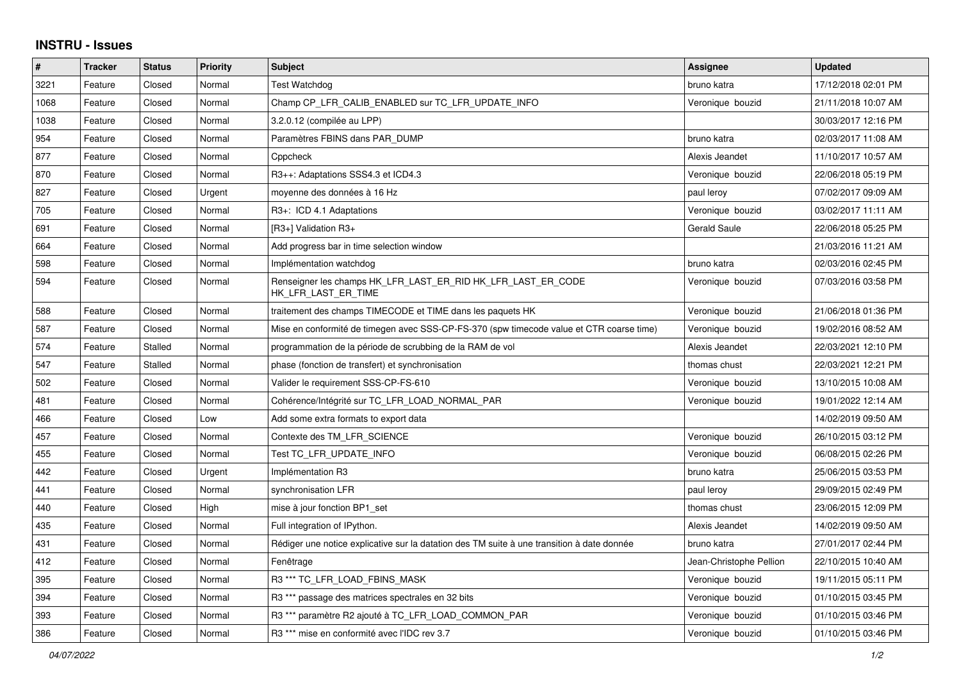## **INSTRU - Issues**

| #    | <b>Tracker</b> | <b>Status</b> | <b>Priority</b> | <b>Subject</b>                                                                             | Assignee                | <b>Updated</b>      |
|------|----------------|---------------|-----------------|--------------------------------------------------------------------------------------------|-------------------------|---------------------|
| 3221 | Feature        | Closed        | Normal          | <b>Test Watchdog</b>                                                                       | bruno katra             | 17/12/2018 02:01 PM |
| 1068 | Feature        | Closed        | Normal          | Champ CP LFR CALIB ENABLED sur TC LFR UPDATE INFO                                          | Veronique bouzid        | 21/11/2018 10:07 AM |
| 1038 | Feature        | Closed        | Normal          | 3.2.0.12 (compilée au LPP)                                                                 |                         | 30/03/2017 12:16 PM |
| 954  | Feature        | Closed        | Normal          | Paramètres FBINS dans PAR DUMP                                                             | bruno katra             | 02/03/2017 11:08 AM |
| 877  | Feature        | Closed        | Normal          | Cppcheck                                                                                   | Alexis Jeandet          | 11/10/2017 10:57 AM |
| 870  | Feature        | Closed        | Normal          | R3++: Adaptations SSS4.3 et ICD4.3                                                         | Veronique bouzid        | 22/06/2018 05:19 PM |
| 827  | Feature        | Closed        | Urgent          | moyenne des données à 16 Hz                                                                | paul leroy              | 07/02/2017 09:09 AM |
| 705  | Feature        | Closed        | Normal          | R3+: ICD 4.1 Adaptations                                                                   | Veronique bouzid        | 03/02/2017 11:11 AM |
| 691  | Feature        | Closed        | Normal          | [R3+] Validation R3+                                                                       | <b>Gerald Saule</b>     | 22/06/2018 05:25 PM |
| 664  | Feature        | Closed        | Normal          | Add progress bar in time selection window                                                  |                         | 21/03/2016 11:21 AM |
| 598  | Feature        | Closed        | Normal          | Implémentation watchdog                                                                    | bruno katra             | 02/03/2016 02:45 PM |
| 594  | Feature        | Closed        | Normal          | Renseigner les champs HK LFR LAST ER RID HK LFR LAST ER CODE<br>HK_LFR_LAST_ER_TIME        | Veronique bouzid        | 07/03/2016 03:58 PM |
| 588  | Feature        | Closed        | Normal          | traitement des champs TIMECODE et TIME dans les paquets HK                                 | Veronique bouzid        | 21/06/2018 01:36 PM |
| 587  | Feature        | Closed        | Normal          | Mise en conformité de timegen avec SSS-CP-FS-370 (spw timecode value et CTR coarse time)   | Veronique bouzid        | 19/02/2016 08:52 AM |
| 574  | Feature        | Stalled       | Normal          | programmation de la période de scrubbing de la RAM de vol                                  | Alexis Jeandet          | 22/03/2021 12:10 PM |
| 547  | Feature        | Stalled       | Normal          | phase (fonction de transfert) et synchronisation                                           | thomas chust            | 22/03/2021 12:21 PM |
| 502  | Feature        | Closed        | Normal          | Valider le requirement SSS-CP-FS-610                                                       | Veronique bouzid        | 13/10/2015 10:08 AM |
| 481  | Feature        | Closed        | Normal          | Cohérence/Intégrité sur TC LFR LOAD NORMAL PAR                                             | Veronique bouzid        | 19/01/2022 12:14 AM |
| 466  | Feature        | Closed        | Low             | Add some extra formats to export data                                                      |                         | 14/02/2019 09:50 AM |
| 457  | Feature        | Closed        | Normal          | Contexte des TM LFR SCIENCE                                                                | Veronique bouzid        | 26/10/2015 03:12 PM |
| 455  | Feature        | Closed        | Normal          | Test TC LFR UPDATE INFO                                                                    | Veronique bouzid        | 06/08/2015 02:26 PM |
| 442  | Feature        | Closed        | Urgent          | Implémentation R3                                                                          | bruno katra             | 25/06/2015 03:53 PM |
| 441  | Feature        | Closed        | Normal          | synchronisation LFR                                                                        | paul leroy              | 29/09/2015 02:49 PM |
| 440  | Feature        | Closed        | High            | mise à jour fonction BP1 set                                                               | thomas chust            | 23/06/2015 12:09 PM |
| 435  | Feature        | Closed        | Normal          | Full integration of IPython.                                                               | Alexis Jeandet          | 14/02/2019 09:50 AM |
| 431  | Feature        | Closed        | Normal          | Rédiger une notice explicative sur la datation des TM suite à une transition à date donnée | bruno katra             | 27/01/2017 02:44 PM |
| 412  | Feature        | Closed        | Normal          | Fenêtrage                                                                                  | Jean-Christophe Pellion | 22/10/2015 10:40 AM |
| 395  | Feature        | Closed        | Normal          | R3 *** TC LFR LOAD FBINS MASK                                                              | Veronique bouzid        | 19/11/2015 05:11 PM |
| 394  | Feature        | Closed        | Normal          | R3 <sup>***</sup> passage des matrices spectrales en 32 bits                               | Veronique bouzid        | 01/10/2015 03:45 PM |
| 393  | Feature        | Closed        | Normal          | R3 <sup>***</sup> paramètre R2 ajouté à TC LFR LOAD COMMON PAR                             | Veronique bouzid        | 01/10/2015 03:46 PM |
| 386  | Feature        | Closed        | Normal          | R3 <sup>***</sup> mise en conformité avec l'IDC rev 3.7                                    | Veronique bouzid        | 01/10/2015 03:46 PM |